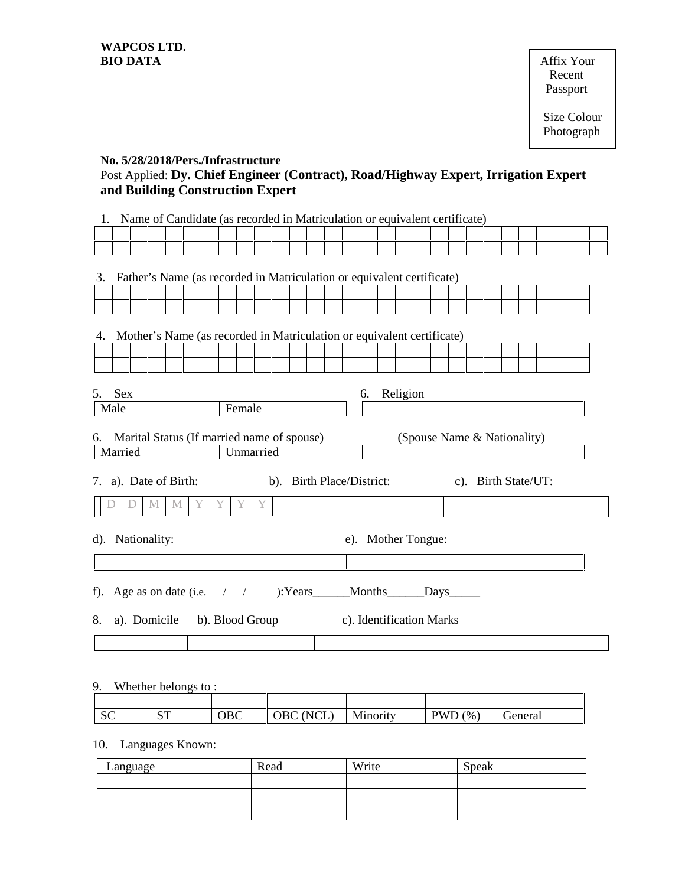**Affix Your** Recent Passport

#### **No. 5/28/2018/Pers./Infrastructure**

# Post Applied: **Dy. Chief Engineer (Contract), Road/Highway Expert, Irrigation Expert and Building Construction Expert**

| Father's Name (as recorded in Matriculation or equivalent certificate)<br>3.<br>Mother's Name (as recorded in Matriculation or equivalent certificate)<br>4. |  |  |  |  |  |
|--------------------------------------------------------------------------------------------------------------------------------------------------------------|--|--|--|--|--|
|                                                                                                                                                              |  |  |  |  |  |
|                                                                                                                                                              |  |  |  |  |  |
|                                                                                                                                                              |  |  |  |  |  |
|                                                                                                                                                              |  |  |  |  |  |
|                                                                                                                                                              |  |  |  |  |  |
|                                                                                                                                                              |  |  |  |  |  |
|                                                                                                                                                              |  |  |  |  |  |
|                                                                                                                                                              |  |  |  |  |  |
| 5.<br>Sex<br>Religion<br>6.                                                                                                                                  |  |  |  |  |  |
| Male<br>Female                                                                                                                                               |  |  |  |  |  |
| Marital Status (If married name of spouse)<br>(Spouse Name & Nationality)<br>6.                                                                              |  |  |  |  |  |
| Married<br>Unmarried                                                                                                                                         |  |  |  |  |  |
| b). Birth Place/District:<br>7. a). Date of Birth:<br>c). Birth State/UT:                                                                                    |  |  |  |  |  |
| Y<br>Y<br>Y<br>M<br>Y<br>M<br>$\Box$                                                                                                                         |  |  |  |  |  |
| d). Nationality:<br>e). Mother Tongue:                                                                                                                       |  |  |  |  |  |
|                                                                                                                                                              |  |  |  |  |  |
|                                                                                                                                                              |  |  |  |  |  |
| 8.<br>a). Domicile b). Blood Group c). Identification Marks                                                                                                  |  |  |  |  |  |
|                                                                                                                                                              |  |  |  |  |  |

## 9. Whether belongs to :

| $\sim$<br>5C | $\alpha$ $\pi$<br>ິ | $_{\rm OBC}$ | $\overline{\text{NCI}}$<br>OBC<br>◡∸<br>◡ | Minority | <b>PWD</b><br>$\frac{9}{6}$<br>≖<br>л. | $\sim$<br>General |
|--------------|---------------------|--------------|-------------------------------------------|----------|----------------------------------------|-------------------|

#### 10. Languages Known:

| Language | Read | Write | Speak |
|----------|------|-------|-------|
|          |      |       |       |
|          |      |       |       |
|          |      |       |       |